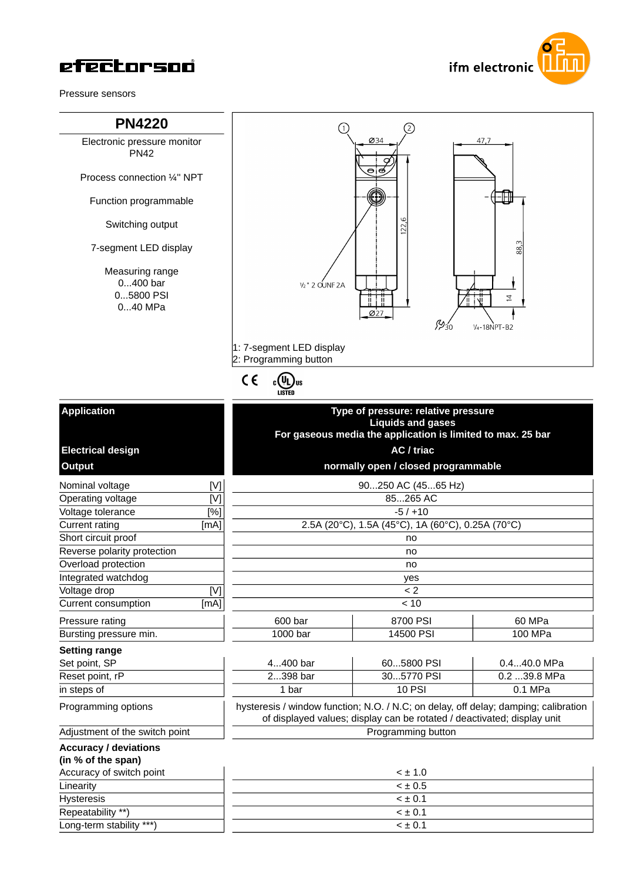

Pressure sensors

## **PN4220**

Electronic pressure monitor PN42

Process connection ¼'' NPT

Function programmable

Switching output

7-segment LED display

Measuring range 0...400 bar 0...5800 PSI 0...40 MPa





### **Application**

| Nominal voltage                |      |
|--------------------------------|------|
| Operating voltage              |      |
| Voltage tolerance              | [%]  |
| <b>Current rating</b>          | [mA] |
| Short circuit proof            |      |
| Reverse polarity protection    |      |
| Overload protection            |      |
| Integrated watchdog            |      |
| Voltage drop                   |      |
| Current consumption            | [mA  |
| Pressure rating                |      |
| Bursting pressure min.         |      |
| <b>Setting range</b>           |      |
| Set point, SP                  |      |
| Reset point, rP                |      |
| in steps of                    |      |
| Programming options            |      |
| Adjustment of the switch point |      |
| <b>Accuracy / deviations</b>   |      |
| (in % of the span)             |      |
| Accuracy of switch point       |      |
| Linearity                      |      |

| un 70 or und opanj       |
|--------------------------|
| Accuracy of switch point |
| Linearity                |
| <b>Hysteresis</b>        |
| Repeatability **)        |
| Long-term stability ***) |

|                             |      |                                     | <b>Liquids and gases</b><br>For gaseous media the application is limited to max. 25 bar |        |  |
|-----------------------------|------|-------------------------------------|-----------------------------------------------------------------------------------------|--------|--|
| <b>Electrical design</b>    |      | AC / triac                          |                                                                                         |        |  |
| <b>Output</b>               |      | normally open / closed programmable |                                                                                         |        |  |
| Nominal voltage             | [V]  |                                     | 90250 AC (4565 Hz)                                                                      |        |  |
| Operating voltage           | [V]  |                                     | 85265 AC                                                                                |        |  |
| Voltage tolerance           | [%]  |                                     | $-5/+10$                                                                                |        |  |
| Current rating              | [mA] |                                     | 2.5A (20°C), 1.5A (45°C), 1A (60°C), 0.25A (70°C)                                       |        |  |
| Short circuit proof         |      |                                     | no                                                                                      |        |  |
| Reverse polarity protection |      | no                                  |                                                                                         |        |  |
| Overload protection         |      | no                                  |                                                                                         |        |  |
| Integrated watchdog         |      |                                     | yes                                                                                     |        |  |
| Voltage drop                | [V]  | < 2                                 |                                                                                         |        |  |
| Current consumption         | [mA] | < 10                                |                                                                                         |        |  |
| Pressure rating             |      | 600 bar                             | 8700 PSI                                                                                | 60 MPa |  |

**Type of pressure: relative pressure**

| Bursting pressure min. | 1000 bar | 14500 PSI  | 100 MPa       |
|------------------------|----------|------------|---------------|
| <b>Setting range</b>   |          |            |               |
| Set point, SP          | 4400 bar | 605800 PSI | $0.440.0$ MPa |
|                        |          |            |               |

| Reset point, rP | 2398 bar | 5770 PSI<br>3057 | `MPa<br>2٥<br>◡.८<br>. |
|-----------------|----------|------------------|------------------------|
| in steps of     | 1 bar    | 10 PS            | MPa<br>0.1             |
|                 |          | .<br>.           | $  -$<br>____          |

hysteresis / window function; N.O. / N.C; on delay, off delay; damping; calibration of displayed values; display can be rotated / deactivated; display unit **Programming button** 

Accuracy of switch point < ± 1.0 Linearity < ± 0.5 Hysteresis < ± 0.1 Repeatability  $^{**}$ )  $\qquad \qquad \vert$   $\qquad \qquad \qquad \qquad < \pm$  0.1 Long-term stability \*\*\*) < ± 0.1

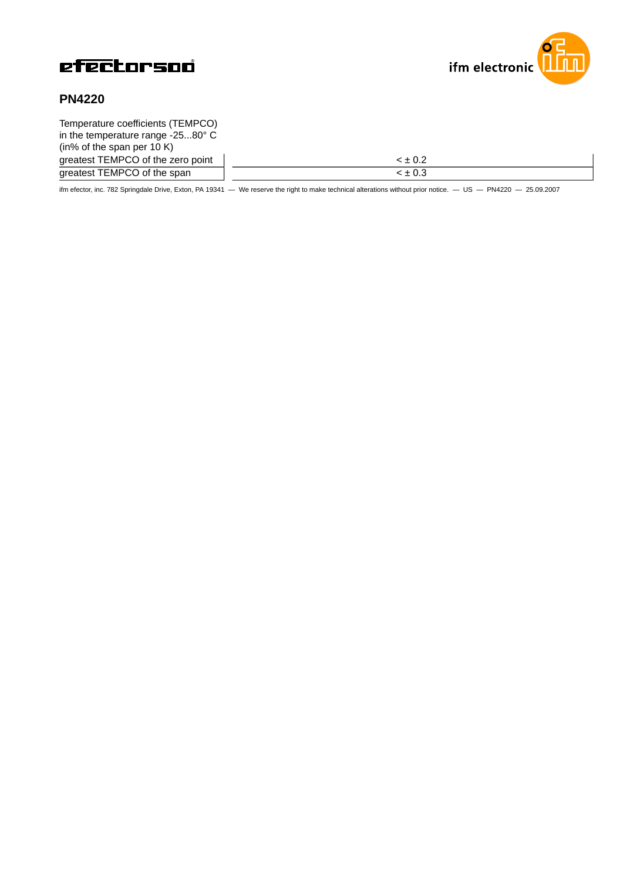



# **PN4220**

| Temperature coefficients (TEMPCO)          |              |
|--------------------------------------------|--------------|
| in the temperature range $-2580^{\circ}$ C |              |
| (in% of the span per $10 K$ )              |              |
| greatest TEMPCO of the zero point          | $-10.2$      |
| greatest TEMPCO of the span                | $\leq$ + 0.3 |

ifm efector, inc. 782 Springdale Drive, Exton, PA 19341 — We reserve the right to make technical alterations without prior notice. — US — PN4220 — 25.09.2007